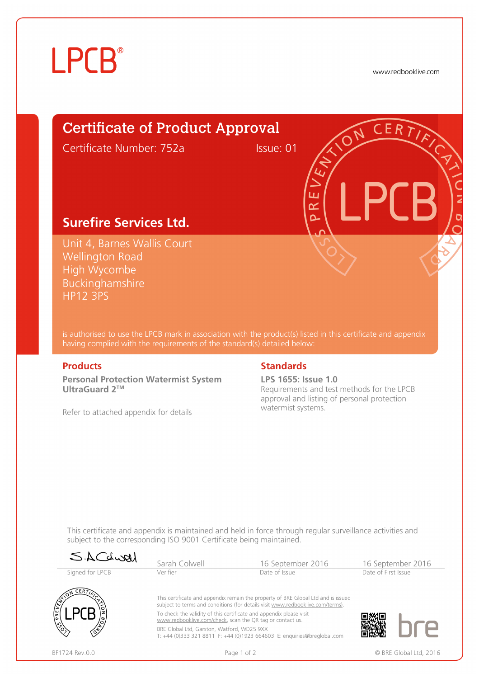## **LPCB**®

www.redbooklive.com

### Certificate of Product Approval Certificate Number: 752a Issue: 01

### **Surefire Services Ltd.**

Unit 4, Barnes Wallis Court Wellington Road High Wycombe Buckinghamshire HP12 3PS

is authorised to use the LPCB mark in association with the product(s) listed in this certificate and appendix having complied with the requirements of the standard(s) detailed below:

**Personal Protection Watermist System UltraGuard 2TM**

Refer to attached appendix for details

### **Products Standards**

u i œ

**LPS 1655: Issue 1.0** Requirements and test methods for the LPCB approval and listing of personal protection watermist systems.

This certificate and appendix is maintained and held in force through regular surveillance activities and subject to the corresponding ISO 9001 Certificate being maintained.

| SACLWAI                                | Sarah Colwell                                                                                                                                                       | 16 September 2016 |                     | 16 September 2016 |
|----------------------------------------|---------------------------------------------------------------------------------------------------------------------------------------------------------------------|-------------------|---------------------|-------------------|
| Signed for LPCB<br>$CER$ $\rightarrow$ | Verifier                                                                                                                                                            | Date of Issue     | Date of First Issue |                   |
| REVE                                   | This certificate and appendix remain the property of BRE Global Ltd and is issued<br>subject to terms and conditions (for details visit www.redbooklive.com/terms). |                   |                     |                   |
|                                        | To check the validity of this certificate and appendix please visit<br>www.redbooklive.com/check, scan the QR tag or contact us.                                    |                   |                     |                   |
|                                        | BRE Global Ltd, Garston, Watford, WD25 9XX<br>T: +44 (0)333 321 8811 F: +44 (0)1923 664603 E: enquiries@brealobal.com                                               |                   |                     |                   |



BF1724 Rev.0.0 **Page 1 of 2** Page 1 of 2 © BRE Global Ltd, 2016